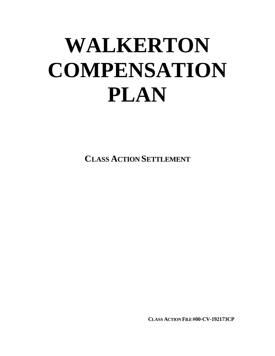# **WALKERTON COMPENSATION PLAN**

**CLASS ACTION SETTLEMENT**

**CLASS ACTION FILE #00-CV-192173CP**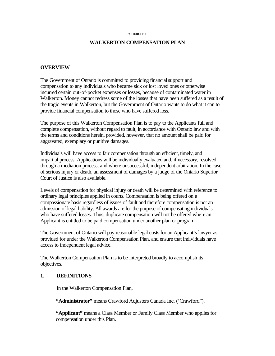#### **SCHEDULE 1**

## **WALKERTON COMPENSATION PLAN**

#### **OVERVIEW**

The Government of Ontario is committed to providing financial support and compensation to any individuals who became sick or lost loved ones or otherwise incurred certain out-of-pocket expenses or losses, because of contaminated water in Walkerton. Money cannot redress some of the losses that have been suffered as a result of the tragic events in Walkerton, but the Government of Ontario wants to do what it can to provide financial compensation to those who have suffered loss.

The purpose of this Walkerton Compensation Plan is to pay to the Applicants full and complete compensation, without regard to fault, in accordance with Ontario law and with the terms and conditions herein, provided, however, that no amount shall be paid for aggravated, exemplary or punitive damages.

Individuals will have access to fair compensation through an efficient, timely, and impartial process. Applications will be individually evaluated and, if necessary, resolved through a mediation process, and where unsuccessful, independent arbitration. In the case of serious injury or death, an assessment of damages by a judge of the Ontario Superior Court of Justice is also available.

Levels of compensation for physical injury or death will be determined with reference to ordinary legal principles applied in courts. Compensation is being offered on a compassionate basis regardless of issues of fault and therefore compensation is not an admission of legal liability. All awards are for the purpose of compensating individuals who have suffered losses. Thus, duplicate compensation will not be offered where an Applicant is entitled to be paid compensation under another plan or program.

The Government of Ontario will pay reasonable legal costs for an Applicant's lawyer as provided for under the Walkerton Compensation Plan, and ensure that individuals have access to independent legal advice.

The Walkerton Compensation Plan is to be interpreted broadly to accomplish its objectives.

## **1. DEFINITIONS**

In the Walkerton Compensation Plan,

**"Administrator"** means Crawford Adjusters Canada Inc. ('Crawford").

**"Applicant"** means a Class Member or Family Class Member who applies for compensation under this Plan.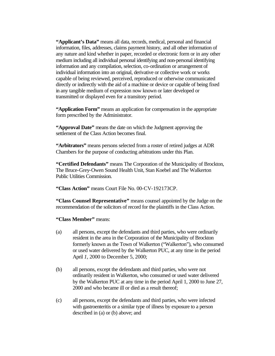"Applicant's Data" means all data, records, medical, personal and financial information, files, addresses, claims payment history, and all other information of any nature and kind whether in paper, recorded or electronic form or in any other medium including all individual personal identifying and non-personal identifying information and any compilation, selection, co-ordination or arrangement of individual information into an original, derivative or collective work or works capable of being reviewed, perceived, reproduced or otherwise communicated directly or indirectly with the aid of a machine or device or capable of being fixed in any tangible medium of expression now known or later developed or transmitted or displayed even for a transitory period.

**"Application Form"** means an application for compensation in the appropriate form prescribed by the Administrator.

**"Approval Date"** means the date on which the Judgment approving the settlement of the Class Action becomes final.

**"Arbitrators"** means persons selected from a roster of retired judges at ADR Chambers for the purpose of conducting arbitrations under this Plan.

**"Certified Defendants"** means The Corporation of the Municipality of Brockton, The Bruce-Grey-Owen Sound Health Unit, Stan Koebel and The Walkerton Public Utilities Commission.

**"Class Action"** means Court File No. 00-CV-192173CP.

**"Class Counsel Representative"** means counsel appointed by the Judge on the recommendation of the solicitors of record for the plaintiffs in the Class Action.

**"Class Member"** means:

- (a) all persons, except the defendants and third parties, who were ordinarily resident in the area in the Corporation of the Municipality of Brockton formerly known as the Town of Walkerton ("Walkerton"), who consumed or used water delivered by the Walkerton PUC, at any time in the period April *1,* 2000 to December 5, 2000;
- (b) all persons, except the defendants and third parties, who were not ordinarily resident in Walkerton, who consumed or used water delivered by the Walkerton PUC at any time in the period April 1, 2000 to June 27, 2000 and who became ill or died as a result thereof;
- (c) all persons, except the defendants and third parties, who were infected with gastroenteritis or a similar type of illness by exposure to a person described in (a) or (b) above; and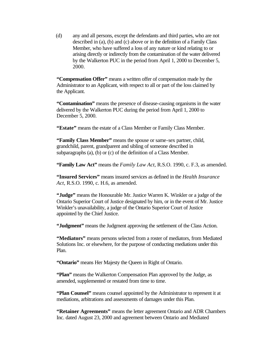(d) any and all persons, except the defendants and third parties, who are not described in (a), (b) and (c) above or in the definition of a Family Class Member, who have suffered a loss of any nature or kind relating to or arising directly or indirectly from the contamination of the water delivered by the Walkerton PUC in the period from April 1, 2000 to December 5, 2000.

**"Compensation Offer"** means a written offer of compensation made by the Administrator to an Applicant, with respect to all or part of the loss claimed by the Applicant.

**"Contamination"** means the presence of disease-causing organisms in the water delivered by the Walkerton PUC during the period from April 1, 2000 to December 5, 2000.

**"Estate"** means the estate of a Class Member or Family Class Member.

**"Family Class Member"** means the spouse or same-sex partner, child, grandchild, parent, grandparent and sibling of someone described in subparagraphs (a), (b) or (c) of the definition of a Class Member.

**"Family Law Act"** means the *Family Law Act,* R.S.O. 1990, c. F.3, as amended.

**"Insured Services"** means insured services as defined in the *Health Insurance Act,* R.S.O. 1990, c. H.6, as amended.

**"Judge"** means the Honourable Mr. Justice Warren K. Winkler or a judge of the Ontario Superior Court of Justice designated by him, or in the event of Mr. Justice Winkler's unavailability, a judge of the Ontario Superior Court of Justice appointed by the Chief Justice.

**"Judgment"** means the Judgment approving the settlement of the Class Action.

**"Mediators"** means persons selected from a roster of mediators, from Mediated Solutions Inc. or elsewhere, for the purpose of conducting mediations under this Plan.

**"Ontario"** means Her Majesty the Queen in Right of Ontario.

**"Plan"** means the Walkerton Compensation Plan approved by the Judge, as amended, supplemented or restated from time to time.

**"Plan Counsel"** means counsel appointed by the Administrator to represent it at mediations, arbitrations and assessments of damages under this Plan.

**"Retainer Agreements"** means the letter agreement Ontario and ADR Chambers Inc. dated August 23, 2000 and agreement between Ontario and Mediated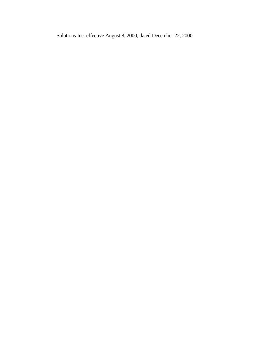Solutions Inc. effective August 8, 2000, dated December 22, 2000.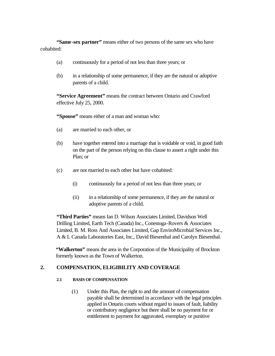**"Same-sex partner"** means either of two persons of the same sex who have cohabited:

- (a) continuously for a period of not less than three years; or
- (b) in a relationship of some permanence, if they are the natural or adoptive parents of a child.

**"Service Agreement"** means the contract between Ontario and Crawford effective July 25, 2000.

**"Spouse"** means either of a man and woman who:

- (a) are married to each other, or
- (b) have together entered into a marriage that is voidable or void, in good faith on the part of the person relying on this clause to assert a right under this Plan; or
- (c) are not married to each other but have cohabited:
	- (i) continuously for a period of not less than three years; or
	- (ii) in a relationship of some permanence, if they are the natural or adoptive parents of a child.

**"Third Parties"** means Ian D. Wilson Associates Limited, Davidson Well Drilling Limited, Earth Tech (Canada) Inc., Conestoga-Rovers & Associates Limited, B. M. Ross And Associates Limited, Gap EnviroMicrobial Services Inc., A & L Canada Laboratories East, Inc., David Biesenthal and Carolyn Biesenthal.

**"Walkerton"** means the area in the Corporation of the Municipality of Brockton formerly known as the Town of Walkerton.

## **2. COMPENSATION, ELIGIBILITY AND COVERAGE**

## **2.1 BASIS OF COMPENSATION**

(1) Under this Plan, the right to and the amount of compensation payable shall be determined in accordance with the legal principles applied in Ontario courts without regard to issues of fault, liability or contributory negligence but there shall be no payment for or entitlement to payment for aggravated, exemplary or punitive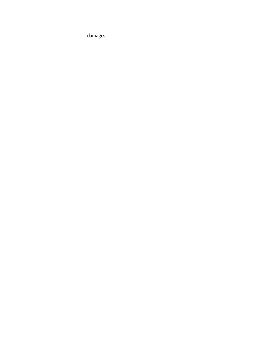damages.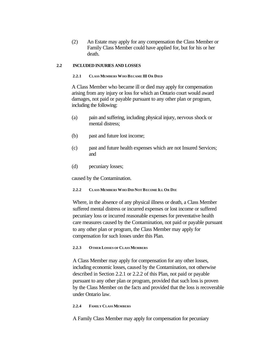(2) An Estate may apply for any compensation the Class Member or Family Class Member could have applied for, but for his or her death.

#### **2.2 INCLUDED INJURIES AND LOSSES**

#### **2.2.1 CLASS MEMBERS WHO BECAME III OR DIED**

A Class Member who became ill or died may apply for compensation arising from any injury or loss for which an Ontario court would award damages, not paid or payable pursuant to any other plan or program, including the following:

- (a) pain and suffering, including physical injury, nervous shock or mental distress;
- (b) past and future lost income;
- (c) past and future health expenses which are not Insured Services; and
- (d) pecuniary losses;

caused by the Contamination.

#### **2.2.2 CLASS MEMBERS WHO DID NOT BECOME ILL OR DIE**

Where, in the absence of any physical illness or death, a Class Member suffered mental distress or incurred expenses or lost income or suffered pecuniary loss or incurred reasonable expenses for preventative health care measures caused by the Contamination, not paid or payable pursuant to any other plan or program, the Class Member may apply for compensation for such losses under this Plan.

#### **2.2.3 OTHER LOSSES OF CLASS MEMBERS**

A Class Member may apply for compensation for any other losses, including economic losses, caused by the Contamination, not otherwise described in Section 2.2.1 or 2.2.2 of this Plan, not paid or payable pursuant to any other plan or program, provided that such loss is proven by the Class Member on the facts and provided that the loss is recoverable under Ontario law.

#### **2.2.4 FAMILY CLASS MEMBERS**

A Family Class Member may apply for compensation for pecuniary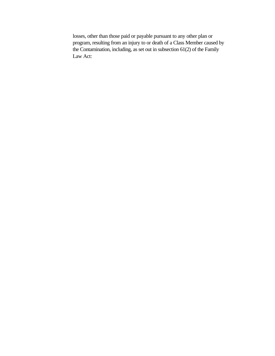losses, other than those paid or payable pursuant to any other plan or program, resulting from an injury to or death of a Class Member caused by the Contamination, including, as set out in subsection 61(2) of the Family Law Act: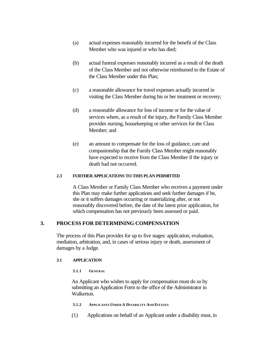- (a) actual expenses reasonably incurred for the benefit of the Class Member who was injured or who has died;
- (b) actual funeral expenses reasonably incurred as a result of the death of the Class Member and not otherwise reimbursed to the Estate of the Class Member under this Plan;
- (c) a reasonable allowance for travel expenses actually incurred in visiting the Class Member during his or her treatment or recovery;
- (d) a reasonable allowance for loss of income or for the value of services where, as a result of the injury, the Family Class Member provides nursing, housekeeping or other services for the Class Member; and
- (e) an amount to compensate for the loss of guidance, care and companionship that the Family Class Member might reasonably have expected to receive from the Class Member if the injury or death had not occurred.

## **2.3 FURTHER APPLICATIONS TO THIS PLAN PERMITTED**

A Class Member or Family Class Member who receives a payment under this Plan may make further applications and seek further damages if he, she or it suffers damages occurring or materializing after, or not reasonably discovered before, the date of the latest prior application, for which compensation has not previously been assessed or paid.

## **3. PROCESS FOR DETERMINING COMPENSATION**

The process of this Plan provides for up to five stages: application, evaluation, mediation, arbitration, and, in cases of serious injury or death, assessment of damages by a Judge.

## **3.1 APPLICATION**

**3.1.1 GENERAL**

An Applicant who wishes to apply for compensation must do so by submitting an Application Form to the office of the Administrator in Walkerton.

- **3.1.2 APPLICANTS UNDER A DISABILITY AND ESTATES**
- (1) Applications on behalf of an Applicant under a disability must, in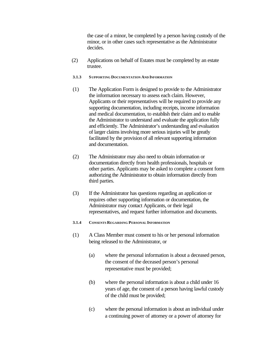the case of a minor, be completed by a person having custody of the minor, or in other cases such representative as the Administrator decides.

- (2) Applications on behalf of Estates must be completed by an estate trustee.
- **3.1.3 S UPPORTING DOCUMENTATION AND INFORMATION**
- (1) The Application Form is designed to provide to the Administrator the information necessary to assess each claim. However, Applicants or their representatives will be required to provide any supporting documentation, including receipts, income information and medical documentation, to establish their claim and to enable the Administrator to understand and evaluate the application fully and efficiently. The Administrator's understanding and evaluation of larger claims involving more serious injuries will be greatly facilitated by the provision of all relevant supporting information and documentation.
- (2) The Administrator may also need to obtain information or documentation directly from health professionals, hospitals or other parties. Applicants may be asked to complete a consent form authorizing the Administrator to obtain information directly from third parties.
- (3) If the Administrator has questions regarding an application or requires other supporting information or documentation, the Administrator may contact Applicants, or their legal representatives, and request further information and documents.
- **3.1.4 CONSENTS REGARDING PERSONAL INFORMATION**
- (1) A Class Member must consent to his or her personal information being released to the Administrator, or
	- (a) where the personal information is about a deceased person, the consent of the deceased person's personal representative must be provided;
	- (b) where the personal information is about a child under 16 years of age, the consent of a person having lawful custody of the child must be provided;
	- (c) where the personal information is about an individual under a continuing power of attorney or a power of attorney for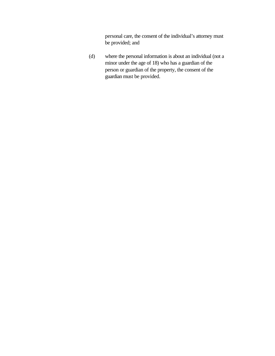personal care, the consent of the individual's attorney must be provided; and

(d) where the personal information is about an individual (not a minor under the age of 18) who has a guardian of the person or guardian of the property, the consent of the guardian must be provided.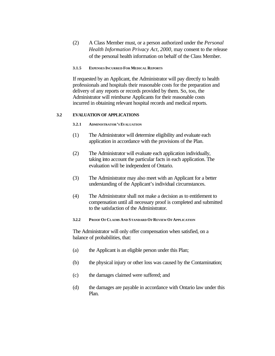(2) A Class Member must, or a person authorized under the *Personal Health Information Privacy Act, 2000,* may consent to the release of the personal health information on behalf of the Class Member.

#### **3.1.5 EXPENSES INCURRED FOR MEDICAL REPORTS**

If requested by an Applicant, the Administrator will pay directly to health professionals and hospitals their reasonable costs for the preparation and delivery of any reports or records provided by them. So, too, the Administrator will reimburse Applicants for their reasonable costs incurred in obtaining relevant hospital records and medical reports.

#### **3.2 EVALUATION OF APPLICATIONS**

#### **3.2.1 ADMINISTRATOR'S EVALUATION**

- (1) The Administrator will determine eligibility and evaluate each application in accordance with the provisions of the Plan.
- (2) The Administrator will evaluate each application individually, taking into account the particular facts in each application. The evaluation will be independent of Ontario.
- (3) The Administrator may also meet with an Applicant for a better understanding of the Applicant's individual circumstances.
- (4) The Administrator shall not make a decision as to entitlement to compensation until all necessary proof is completed and submitted to the satisfaction of the Administrator.

#### **3.2.2 PROOF OF CLAIMS AND STANDARD OF REVIEW OF APPLICATION**

The Administrator will only offer compensation when satisfied, on a balance of probabilities, that:

- (a) the Applicant is an eligible person under this Plan;
- (b) the physical injury or other loss was caused by the Contamination;
- (c) the damages claimed were suffered; and
- (d) the damages are payable in accordance with Ontario law under this Plan.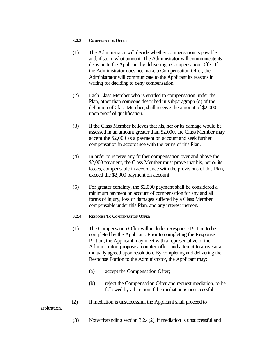#### **3.2.3 COMPENSATION OFFER**

- (1) The Administrator will decide whether compensation is payable and, if so, in what amount. The Administrator will communicate its decision to the Applicant by delivering a Compensation Offer. If the Administrator does not make a Compensation Offer, the Administrator will communicate to the Applicant its reasons in writing for deciding to deny compensation.
- (2) Each Class Member who is entitled to compensation under the Plan, other than someone described in subparagraph (d) of the definition of Class Member, shall receive the amount of \$2,000 upon proof of qualification.
- (3) If the Class Member believes that his, her or its damage would be assessed in an amount greater than \$2,000, the Class Member may accept the \$2,000 as a payment on account and seek further compensation in accordance with the terms of this Plan.
- (4) In order to receive any further compensation over and above the \$2,000 payment, the Class Member must prove that his, her or its losses, compensable in accordance with the provisions of this Plan, exceed the \$2,000 payment on account.
- (5) For greater certainty, the \$2,000 payment shall be considered a minimum payment on account of compensation for any and all forms of injury, loss or damages suffered by a Class Member compensable under this Plan, and any interest thereon.
- **3.2.4 RESPONSE TO COMPENSATION OFFER**
- (1) The Compensation Offer will include a Response Portion to be completed by the Applicant. Prior to completing the Response Portion, the Applicant may meet with a representative of the Administrator, propose a counter-offer. and attempt to arrive at a mutually agreed upon resolution. By completing and delivering the Response Portion to the Administrator, the Applicant may:
	- (a) accept the Compensation Offer;
	- (b) reject the Compensation Offer and request mediation, to be followed by arbitration if the mediation is unsuccessful;
- (2) If mediation is unsuccessful, the Applicant shall proceed to

arbitration.

(3) Notwithstanding section 3.2.4(2), if mediation is unsuccessful and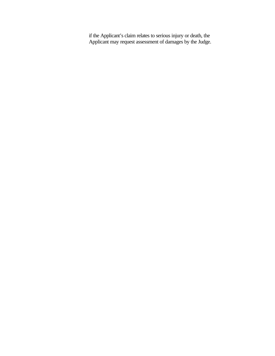if the Applicant's claim relates to serious injury or death, the Applicant may request assessment of damages by the Judge.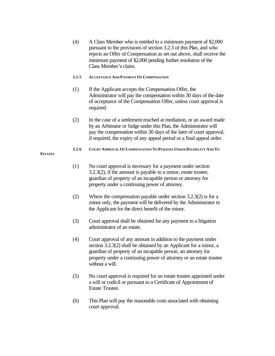- (4) A Class Member who is entitled to a minimum payment of \$2,000 pursuant to the provisions of section 3.2.3 of this Plan, and who rejects an Offer of Compensation as set out above, shall receive the minimum payment of \$2,000 pending further resolution of the Class Member's claim.
- **3.2.5 ACCEPTANCE AND PAYMENT OF COMPENSATION**
- (1) If the Applicant accepts the Compensation Offer, the Administrator will pay the compensation within 30 days of the date of acceptance of the Compensation Offer, unless court approval is required.
- (2) In the case of a settlement reached at mediation, or an award made by an Arbitrator or Judge under this Plan, the Administrator will pay the compensation within 30 days of the later of court approval, if required, the expiry of any appeal period or a final appeal order.
- **3.2.6 COURT APPROVAL OF COMPENSATION TO PERSONS UNDER DISABILITY AND TO**
- **ESTATES**
- (1) No court approval is necessary for a payment under section 3.2.3(2), if the amount is payable to a minor, estate trustee, guardian of property of an incapable person or attorney for property under a continuing power of attorney.
- (2) Where the compensation payable under section 3.2.3(2) is for a minor only, the payment will be delivered by the Administrator to the Applicant for the direct benefit of the minor.
- (3) Court approval shall be obtained for any payment to a litigation administrator of an estate.
- (4) Court approval of any amount in addition to the payment under section 3.2.3(2) shall be obtained by an Applicant for a minor, a guardian of property of an incapable person, an attorney for property under a continuing power of attorney or an estate trustee without a will.
- (5) No court approval is required for an estate trustee appointed under a will or codicil or pursuant to a Certificate of Appointment of Estate Trustee.
- (6) This Plan will pay the reasonable costs associated with obtaining court approval.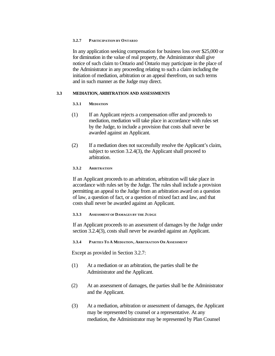#### **3.2.7 PARTICIPATION BY ONTARIO**

In any application seeking compensation for business loss over \$25,000 or for diminution in the value of real property, the Administrator shall give notice of such claim to Ontario and Ontario may participate in the place of the Administrator in any proceeding relating to such a claim including the initiation of mediation, arbitration or an appeal therefrom, on such terms and in such manner as the Judge may direct.

## **3.3 MEDIATION, ARBITRATION AND ASSESSMENTS**

## **3.3.1 MEDIATION**

- (1) If an Applicant rejects a compensation offer and proceeds to mediation, mediation will take place in accordance with rules set by the Judge, to include a provision that costs shall never be awarded against an Applicant.
- (2) If a mediation does not successfully resolve the Applicant's claim, subject to section 3.2.4(3), the Applicant shall proceed to arbitration.

## **3.3.2 ARBITRATION**

If an Applicant proceeds to an arbitration, arbitration will take place in accordance with rules set by the Judge. The rules shall include a provision permitting an appeal to the Judge from an arbitration award on a question of law, a question of fact, or a question of mixed fact and law, and that costs shall never be awarded against an Applicant.

## **3.3.3 ASSESSMENT OF DAMAGES BY THE JUDGE**

If an Applicant proceeds to an assessment of damages by the Judge under section 3.2.4(3), costs shall never be awarded against an Applicant.

## **3.3.4 PARTIES TO A MEDIATION, ARBITRATION OR ASSESSMENT**

Except as provided in Section 3.2.7:

- (1) At a mediation or an arbitration, the parties shall be the Administrator and the Applicant.
- (2) At an assessment of damages, the parties shall be the Administrator and the Applicant.
- (3) At a mediation, arbitration or assessment of damages, the Applicant may be represented by counsel or a representative. At any mediation, the Administrator may be represented by Plan Counsel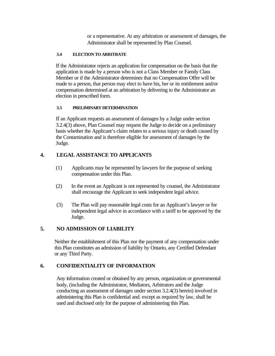or a representative. At any arbitration or assessment of damages, the Administrator shall be represented by Plan Counsel.

## **3.4 ELECTION TO ARBITRATE**

If the Administrator rejects an application for compensation on the basis that the application is made by a person who is not a Class Member or Family Class Member or if the Administrator determines that no Compensation Offer will be made to a person, that person may elect to have his, her or its entitlement and/or compensation determined at an arbitration by delivering to the Administrator an election in prescribed form.

## **3.5 PRELIMINARY DETERMINATION**

If an Applicant requests an assessment of damages by a Judge under section 3.2.4(3) above, Plan Counsel may request the Judge to decide on a preliminary basis whether the Applicant's claim relates to a serious injury or death caused by the Contamination and is therefore eligible for assessment of damages by the Judge.

# **4. LEGAL ASSISTANCE TO APPLICANTS**

- (1) Applicants may be represented by lawyers for the purpose of seeking compensation under this Plan.
- (2) In the event an Applicant is not represented by counsel, the Administrator shall encourage the Applicant to seek independent legal advice.
- (3) The Plan will pay reasonable legal costs for an Applicant's lawyer or for independent legal advice in accordance with a tariff to be approved by the Judge.

# **5. NO ADMISSION OF LIABILITY**

Neither the establishment of this Plan nor the payment of any compensation under this Plan constitutes an admission of liability by Ontario, any Certified Defendant or any Third Party.

# **6. CONFIDENTIALITY OF INFORMATION**

Any information created or obtained by any person, organization or governmental body, (including the Administrator, Mediators, Arbitrators and the Judge conducting an assessment of damages under section 3.2.4(3) herein) involved in administering this Plan is confidential and. except as required by law, shall be used and disclosed only for the purpose of administering this Plan.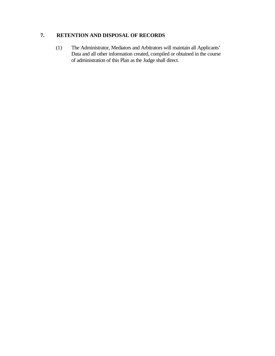# **7. RETENTION AND DISPOSAL OF RECORDS**

(1) The Administrator, Mediators and Arbitrators will maintain all Applicants' Data and all other information created, compiled or obtained in the course of administration of this Plan as the Judge shall direct.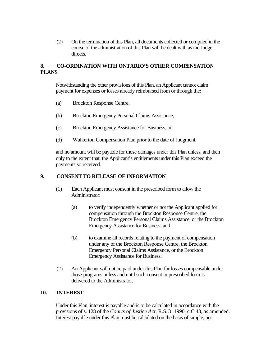(2) On the termination of this Plan, all documents collected or compiled in the course of the administration of this Plan will be dealt with as the Judge directs.

# **8. CO-ORDINATION WITH ONTARIO'S OTHER COMPENSATION PLANS**

Notwithstanding the other provisions of this Plan, an Applicant cannot claim payment for expenses or losses already reimbursed from or through the:

- (a) Brockton Response Centre,
- (b) Brockton Emergency Personal Claims Assistance,
- (c) Brockton Emergency Assistance for Business, or
- (d) Walkerton Compensation Plan prior to the date of Judgment,

and no amount will be payable for those damages under this Plan unless, and then only to the extent that, the Applicant's entitlements under this Plan exceed the payments so received.

## **9. CONSENT TO RELEASE OF INFORMATION**

- (1) Each Applicant must consent in the prescribed form to allow the Administrator:
	- (a) to verify independently whether or not the Applicant applied for compensation through the Brockton Response Centre, the Brockton Emergency Personal Claims Assistance, or the Brockton Emergency Assistance for Business; and
	- (b) to examine all records relating to the payment of compensation under any of the Brockton Response Centre, the Brockton Emergency Personal Claims Assistance, or the Brockton Emergency Assistance for Business.
- (2) An Applicant will not be paid under this Plan for losses compensable under those programs unless and until such consent in prescribed form is delivered to the Administrator.

## **10. INTEREST**

Under this Plan, interest is payable and is to be calculated in accordance with the provisions of s. 128 of the *Courts of Justice Act,* R.S.O. 1990, c.C.43, as amended. Interest payable under this Plan must be calculated on the basis of simple, not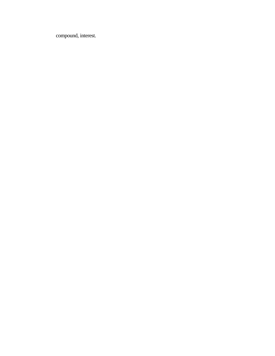compound, interest.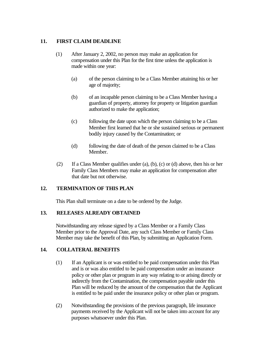# **11. FIRST CLAIM DEADLINE**

- (1) After January 2, 2002, no person may make an application for compensation under this Plan for the first time unless the application is made within one year:
	- (a) of the person claiming to be a Class Member attaining his or her age of majority;
	- (b) of an incapable person claiming to be a Class Member having a guardian of property, attorney for property or litigation guardian authorized to make the application;
	- (c) following the date upon which the person claiming to be a Class Member first learned that he or she sustained serious or permanent bodily injury caused by the Contamination; or
	- (d) following the date of death of the person claimed to be a Class Member.
- (2) If a Class Member qualifies under (a), (b), (c) or (d) above, then his or her Family Class Members may make an application for compensation after that date but not otherwise.

# **12. TERMINATION OF THIS PLAN**

This Plan shall terminate on a date to be ordered by the Judge.

## **13. RELEASES ALREADY OBTAINED**

Notwithstanding any release signed by a Class Member or a Family Class Member prior to the Approval Date, any such Class Member or Family Class Member may take the benefit of this Plan, by submitting an Application Form.

## **14. COLLATERAL BENEFITS**

- (1) If an Applicant is or was entitled to be paid compensation under this Plan and is or was also entitled to be paid compensation under an insurance policy or other plan or program in any way relating to or arising directly or indirectly from the Contamination, the compensation payable under this Plan will be reduced by the amount of the compensation that the Applicant is entitled to be paid under the insurance policy or other plan or program.
- (2) Notwithstanding the provisions of the previous paragraph, life insurance payments received by the Applicant will not be taken into account for any purposes whatsoever under this Plan.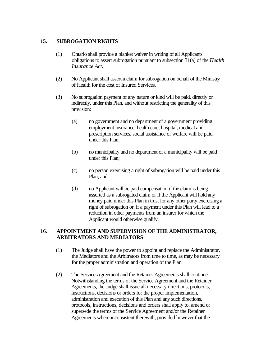## **15. SUBROGATION RIGHTS**

- (1) Ontario shall provide a blanket waiver in writing of all Applicants obligations to assert subrogation pursuant to subsection 31(a) of the *Health Insurance Act.*
- (2) No Applicant shall assert a claim for subrogation on behalf of the Ministry of Health for the cost of Insured Services.
- (3) No subrogation payment of any nature or kind will be paid, directly or indirectly, under this Plan, and without restricting the generality of this provision:
	- (a) no government and no department of a government providing employment insurance, health care, hospital, medical and prescription services, social assistance or welfare will be paid under this Plan;
	- (b) no municipality and no department of a municipality will be paid under this Plan;
	- (c) no person exercising a right of subrogation will be paid under this Plan; and
	- (d) no Applicant will be paid compensation if the claim is being asserted as a subrogated claim or if the Applicant will hold any money paid under this Plan in trust for any other party exercising a right of subrogation or, if a payment under this Plan will lead to a reduction in other payments from an insurer for which the Applicant would otherwise qualify.

# **16. APPOINTMENT AND SUPERVISION OF THE ADMINISTRATOR, ARBITRATORS AND MEDIATORS**

- (1) The Judge shall have the power to appoint and replace the Administrator, the Mediators and the Arbitrators from time to time, as may be necessary for the proper administration and operation of the Plan.
- (2) The Service Agreement and the Retainer Agreements shall continue. Notwithstanding the terms of the Service Agreement and the Retainer Agreements, the Judge shall issue all necessary directions, protocols, instructions, decisions or orders for the proper implementation, administration and execution of this Plan and any such directions, protocols, instructions, decisions and orders shall apply to, amend or supersede the terms of the Service Agreement and/or the Retainer Agreements where inconsistent therewith, provided however that the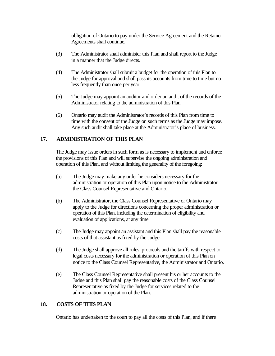obligation of Ontario to pay under the Service Agreement and the Retainer Agreements shall continue.

- (3) The Administrator shall administer this Plan and shall report to the Judge in a manner that the Judge directs.
- (4) The Administrator shall submit a budget for the operation of this Plan to the Judge for approval and shall pass its accounts from time to time but no less frequently than once per year.
- (5) The Judge may appoint an auditor and order an audit of the records of the Administrator relating to the administration of this Plan.
- (6) Ontario may audit the Administrator's records of this Plan from time to time with the consent of the Judge on such terms as the Judge may impose. Any such audit shall take place at the Administrator's place of business.

## **17. ADMINISTRATION OF THIS PLAN**

The Judge may issue orders in such form as is necessary to implement and enforce the provisions of this Plan and will supervise the ongoing administration and operation of this Plan, and without limiting the generality of the foregoing:

- (a) The Judge may make any order he considers necessary for the administration or operation of this Plan upon notice to the Administrator, the Class Counsel Representative and Ontario.
- (b) The Administrator, the Class Counsel Representative or Ontario may apply to the Judge for directions concerning the proper administration or operation of this Plan, including the determination of eligibility and evaluation of applications, at any time.
- (c) The Judge may appoint an assistant and this Plan shall pay the reasonable costs of that assistant as fixed by the Judge.
- (d) The Judge shall approve all rules, protocols and the tariffs with respect to legal costs necessary for the administration or operation of this Plan on notice to the Class Counsel Representative, the Administrator and Ontario.
- (e) The Class Counsel Representative shall present his or her accounts to the Judge and this Plan shall pay the reasonable costs of the Class Counsel Representative as fixed by the Judge for services related to the administration or operation of the Plan.

## **18. COSTS OF THIS PLAN**

Ontario has undertaken to the court to pay all the costs of this Plan, and if there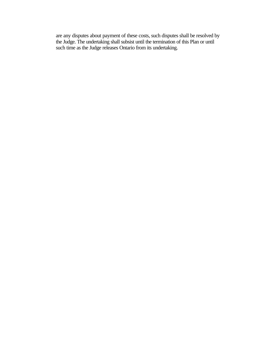are any disputes about payment of these costs, such disputes shall be resolved by the Judge. The undertaking shall subsist until the termination of this Plan or until such time as the Judge releases Ontario from its undertaking.